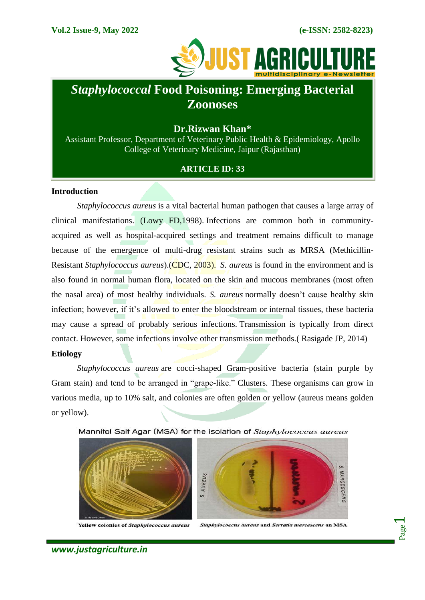

# *Staphylococcal* **Food Poisoning: Emerging Bacterial Zoonoses**

# **Dr.Rizwan Khan\***

Assistant Professor, Department of Veterinary Public Health & Epidemiology, Apollo College of Veterinary Medicine, Jaipur (Rajasthan)

## **ARTICLE ID: 33**

#### **Introduction**

*Staphylococcus aureus* is a vital bacterial human pathogen that causes a large array of clinical manifestations. (Lowy FD,1998). Infections are common both in communityacquired as well as hospital-acquired settings and treatment remains difficult to manage because of the emergence of multi-drug resistant strains such as MRSA (Methicillin-Resistant *Staphylococcus aureus*).(CDC, 2003). *S. aureus* is found in the environment and is also found in normal human flora, located on the skin and mucous membranes (most often the nasal area) of most healthy individuals. *S. aureus* normally doesn't cause healthy skin infection; however, if it's allowed to enter the bloodstream or internal tissues, these bacteria may cause a spread of probably serious infections. Transmission is typically from direct contact. However, some infections involve other transmission methods.( Rasigade JP, 2014)

#### **Etiology**

*Staphylococcus aureus* are cocci-shaped Gram-positive bacteria (stain purple by Gram stain) and tend to be arranged in "grape-like." Clusters. These organisms can grow in various media, up to 10% salt, and colonies are often golden or yellow (aureus means golden or yellow).

Mannitol Salt Agar (MSA) for the isolation of Staphylococcus aureus



Yellow colonies of Staphylococcus aureus



Staphylococcus aureus and Serratia marcescens on MSA

Page  $\overline{\phantom{0}}$ 

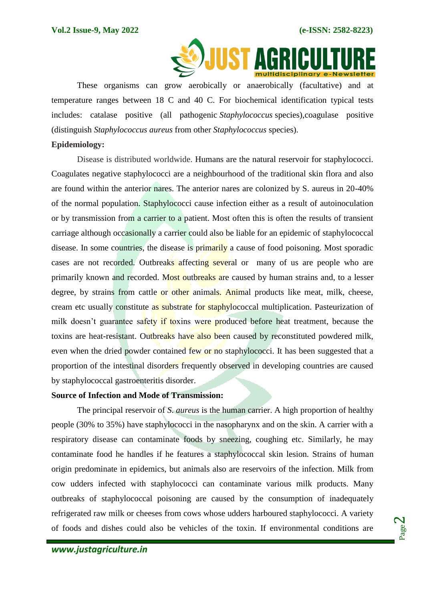

These organisms can grow aerobically or anaerobically (facultative) and at temperature ranges between 18 C and 40 C. For biochemical identification typical tests includes: catalase positive (all pathogenic *Staphylococcus* species),coagulase positive (distinguish *Staphylococcus aureus* from other *Staphylococcus* species).

## **Epidemiology:**

Disease is distributed worldwide. Humans are the natural reservoir for staphylococci. Coagulates negative staphylococci are a neighbourhood of the traditional skin flora and also are found within the anterior nares. The anterior nares are colonized by S. aureus in 20-40% of the normal population. Staphylococci cause infection either as a result of autoinoculation or by transmission from a carrier to a patient. Most often this is often the results of transient carriage although occasionally a carrier could also be liable for an epidemic of staphylococcal disease. In some countries, the disease is primarily a cause of food poisoning. Most sporadic cases are not recorded. Outbreaks affecting several or many of us are people who are primarily known and recorded. Most outbreaks are caused by human strains and, to a lesser degree, by strains from cattle or other animals. Animal products like meat, milk, cheese, cream etc usually constitute as substrate for staphylococcal multiplication. Pasteurization of milk doesn't guarantee safety if toxins were produced before heat treatment, because the toxins are heat-resistant. Outbreaks have also been caused by reconstituted powdered milk, even when the dried powder contained few or no staphylococci. It has been suggested that a proportion of the intestinal disorders frequently observed in developing countries are caused by staphylococcal gastroenteritis disorder.

#### **Source of Infection and Mode of Transmission:**

The principal reservoir of *S*. *aureus* is the human carrier. A high proportion of healthy people (30% to 35%) have staphylococci in the nasopharynx and on the skin. A carrier with a respiratory disease can contaminate foods by sneezing, coughing etc. Similarly, he may contaminate food he handles if he features a staphylococcal skin lesion. Strains of human origin predominate in epidemics, but animals also are reservoirs of the infection. Milk from cow udders infected with staphylococci can contaminate various milk products. Many outbreaks of staphylococcal poisoning are caused by the consumption of inadequately refrigerated raw milk or cheeses from cows whose udders harboured staphylococci. A variety of foods and dishes could also be vehicles of the toxin. If environmental conditions are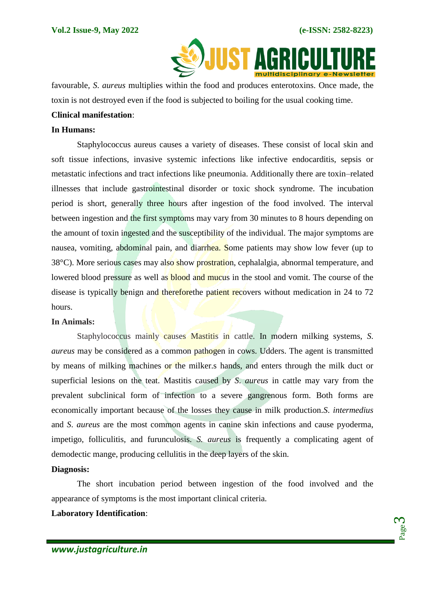

 favourable, *S*. *aureus* multiplies within the food and produces enterotoxins. Once made, the toxin is not destroyed even if the food is subjected to boiling for the usual cooking time.

# **Clinical manifestation**:

#### **In Humans:**

Staphylococcus aureus causes a variety of diseases. These consist of local skin and soft tissue infections, invasive systemic infections like infective endocarditis, sepsis or metastatic infections and tract infections like pneumonia. Additionally there are toxin–related illnesses that include gastrointestinal disorder or toxic shock syndrome. The incubation period is short, generally three hours after ingestion of the food involved. The interval between ingestion and the first symptoms may vary from 30 minutes to 8 hours depending on the amount of toxin ingested and the susceptibility of the individual. The major symptoms are nausea, vomiting, abdominal pain, and diarrhea. Some patients may show low fever (up to 38°C). More serious cases may also show prostration, cephalalgia, abnormal temperature, and lowered blood pressure as well as **blood** and mucus in the stool and vomit. The course of the disease is typically benign and therefore the patient recovers without medication in 24 to 72 hours.

#### **In Animals:**

Staphylococcus mainly causes Mastitis in cattle. In modern milking systems, *S*. *aureus* may be considered as a common pathogen in cows. Udders. The agent is transmitted by means of milking machines or the milker.s hands, and enters through the milk duct or superficial lesions on the teat. Mastitis caused by *S*. *aureus* in cattle may vary from the prevalent subclinical form of infection to a severe gangrenous form. Both forms are economically important because of the losses they cause in milk production.*S*. *intermedius*  and *S*. *aureus* are the most common agents in canine skin infections and cause pyoderma, impetigo, folliculitis, and furunculosis. *S. aureus* is frequently a complicating agent of demodectic mange, producing cellulitis in the deep layers of the skin.

# **Diagnosis:**

The short incubation period between ingestion of the food involved and the appearance of symptoms is the most important clinical criteria.

## **Laboratory Identification**: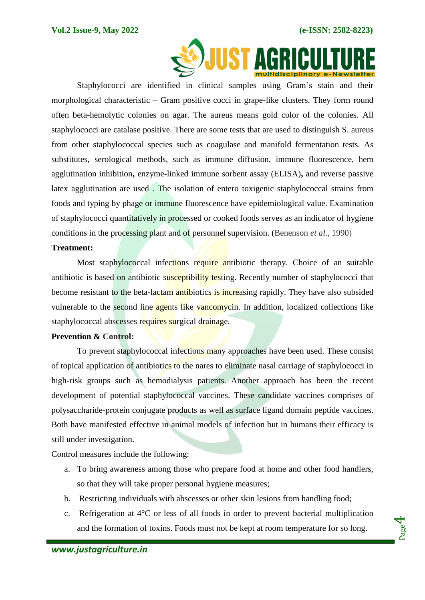

Staphylococci are identified in clinical samples using Gram's stain and their morphological characteristic – Gram positive cocci in grape-like clusters. They form round often beta-hemolytic colonies on agar. The aureus means gold color of the colonies. All staphylococci are catalase positive. There are some tests that are used to distinguish S. aureus from other staphylococcal species such as coagulase and manifold fermentation tests. As substitutes, serological methods, such as immune diffusion, immune fluorescence, hem agglutination inhibition**,** enzyme-linked immune sorbent assay (ELISA)**,** and reverse passive latex agglutination are used . The isolation of entero toxigenic staphylococcal strains from foods and typing by phage or immune fluorescence have epidemiological value. Examination of staphylococci quantitatively in processed or cooked foods serves as an indicator of hygiene conditions in the processing plant and of personnel supervision. (Benenson *et al*., 1990)

#### **Treatment:**

Most staphylococcal infections require antibiotic therapy. Choice of an suitable antibiotic is based on antibiotic susceptibility testing. Recently number of staphylococci that become resistant to the beta-lactam antibiotics is increasing rapidly. They have also subsided vulnerable to the second line agents like vancomycin. In addition, localized collections like staphylococcal abscesses requires surgical drainage.

#### **Prevention & Control:**

To prevent staphylococcal infections many approaches have been used. These consist of topical application of antibiotics to the nares to eliminate nasal carriage of staphylococci in high-risk groups such as hemodialysis patients. Another approach has been the recent development of potential staphylococcal vaccines. These candidate vaccines comprises of polysaccharide-protein conjugate products as well as surface ligand domain peptide vaccines. Both have manifested effective in animal models of infection but in humans their efficacy is still under investigation.

Control measures include the following:

- a. To bring awareness among those who prepare food at home and other food handlers, so that they will take proper personal hygiene measures;
- b. Restricting individuals with abscesses or other skin lesions from handling food;
- c. Refrigeration at 4°C or less of all foods in order to prevent bacterial multiplication and the formation of toxins. Foods must not be kept at room temperature for so long.